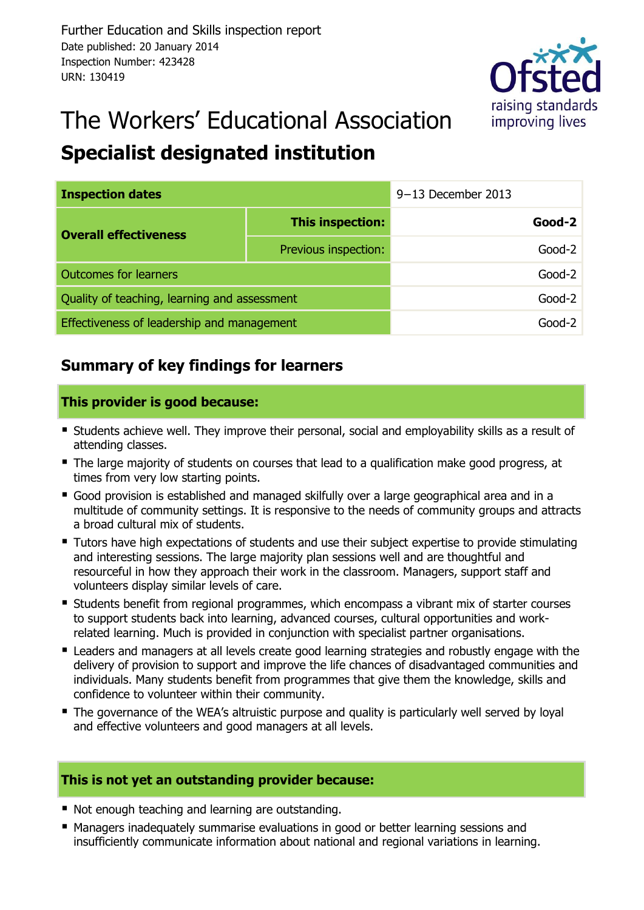

# The Workers' Educational Association

### **Specialist designated institution**

| <b>Inspection dates</b>                      |                      | $9-13$ December 2013 |          |
|----------------------------------------------|----------------------|----------------------|----------|
| <b>Overall effectiveness</b>                 | This inspection:     |                      | $Good-2$ |
|                                              | Previous inspection: |                      | $Good-2$ |
| <b>Outcomes for learners</b>                 |                      |                      | $Good-2$ |
| Quality of teaching, learning and assessment |                      |                      | $Good-2$ |
| Effectiveness of leadership and management   |                      |                      | Good-2   |

### **Summary of key findings for learners**

#### **This provider is good because:**

- **Students achieve well. They improve their personal, social and employability skills as a result of** attending classes.
- The large majority of students on courses that lead to a qualification make good progress, at times from very low starting points.
- Good provision is established and managed skilfully over a large geographical area and in a multitude of community settings. It is responsive to the needs of community groups and attracts a broad cultural mix of students.
- Tutors have high expectations of students and use their subject expertise to provide stimulating and interesting sessions. The large majority plan sessions well and are thoughtful and resourceful in how they approach their work in the classroom. Managers, support staff and volunteers display similar levels of care.
- Students benefit from regional programmes, which encompass a vibrant mix of starter courses to support students back into learning, advanced courses, cultural opportunities and workrelated learning. Much is provided in conjunction with specialist partner organisations.
- Leaders and managers at all levels create good learning strategies and robustly engage with the delivery of provision to support and improve the life chances of disadvantaged communities and individuals. Many students benefit from programmes that give them the knowledge, skills and confidence to volunteer within their community.
- The governance of the WEA's altruistic purpose and quality is particularly well served by loyal and effective volunteers and good managers at all levels.

#### **This is not yet an outstanding provider because:**

- Not enough teaching and learning are outstanding.
- Managers inadequately summarise evaluations in good or better learning sessions and insufficiently communicate information about national and regional variations in learning.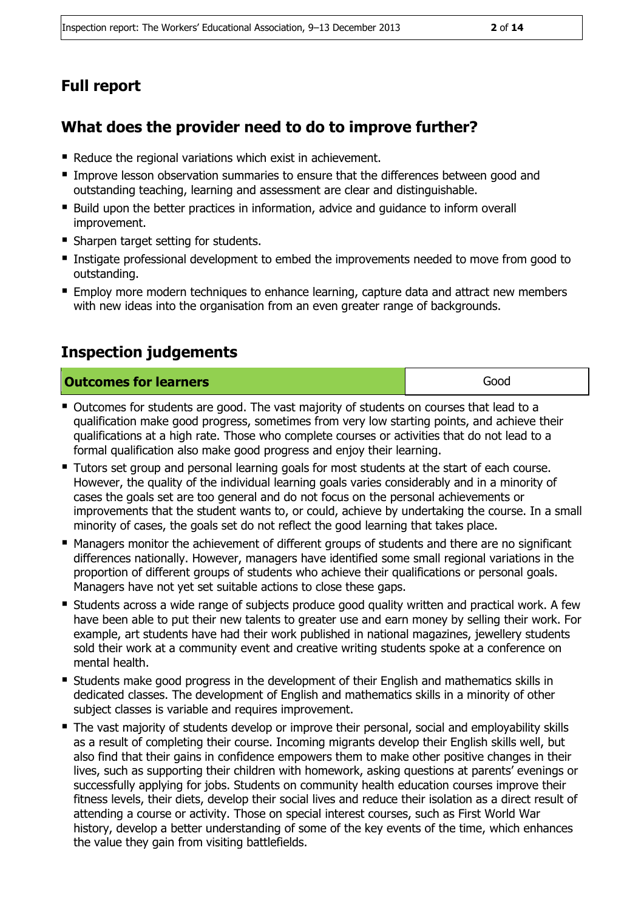#### **Full report**

#### **What does the provider need to do to improve further?**

- Reduce the regional variations which exist in achievement.
- Improve lesson observation summaries to ensure that the differences between good and outstanding teaching, learning and assessment are clear and distinguishable.
- Build upon the better practices in information, advice and guidance to inform overall improvement.
- **Sharpen target setting for students.**
- **Instigate professional development to embed the improvements needed to move from good to** outstanding.
- **Employ more modern techniques to enhance learning, capture data and attract new members** with new ideas into the organisation from an even greater range of backgrounds.

#### **Inspection judgements**

| <b>Outcomes for learners</b> | Good |
|------------------------------|------|
|------------------------------|------|

- Outcomes for students are good. The vast majority of students on courses that lead to a qualification make good progress, sometimes from very low starting points, and achieve their qualifications at a high rate. Those who complete courses or activities that do not lead to a formal qualification also make good progress and enjoy their learning.
- **Tutors set group and personal learning goals for most students at the start of each course.** However, the quality of the individual learning goals varies considerably and in a minority of cases the goals set are too general and do not focus on the personal achievements or improvements that the student wants to, or could, achieve by undertaking the course. In a small minority of cases, the goals set do not reflect the good learning that takes place.
- Managers monitor the achievement of different groups of students and there are no significant differences nationally. However, managers have identified some small regional variations in the proportion of different groups of students who achieve their qualifications or personal goals. Managers have not yet set suitable actions to close these gaps.
- **E** Students across a wide range of subjects produce good quality written and practical work. A few have been able to put their new talents to greater use and earn money by selling their work. For example, art students have had their work published in national magazines, jewellery students sold their work at a community event and creative writing students spoke at a conference on mental health.
- Students make good progress in the development of their English and mathematics skills in dedicated classes. The development of English and mathematics skills in a minority of other subject classes is variable and requires improvement.
- The vast majority of students develop or improve their personal, social and employability skills as a result of completing their course. Incoming migrants develop their English skills well, but also find that their gains in confidence empowers them to make other positive changes in their lives, such as supporting their children with homework, asking questions at parents' evenings or successfully applying for jobs. Students on community health education courses improve their fitness levels, their diets, develop their social lives and reduce their isolation as a direct result of attending a course or activity. Those on special interest courses, such as First World War history, develop a better understanding of some of the key events of the time, which enhances the value they gain from visiting battlefields.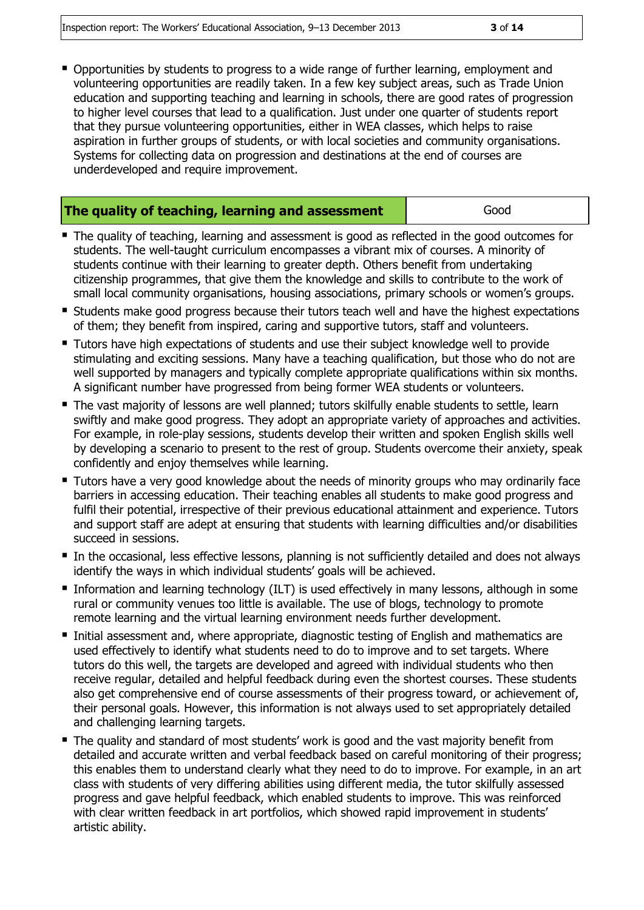Opportunities by students to progress to a wide range of further learning, employment and volunteering opportunities are readily taken. In a few key subject areas, such as Trade Union education and supporting teaching and learning in schools, there are good rates of progression to higher level courses that lead to a qualification. Just under one quarter of students report that they pursue volunteering opportunities, either in WEA classes, which helps to raise aspiration in further groups of students, or with local societies and community organisations. Systems for collecting data on progression and destinations at the end of courses are underdeveloped and require improvement.

| The quality of teaching, learning and assessment | Good |
|--------------------------------------------------|------|
|--------------------------------------------------|------|

- The quality of teaching, learning and assessment is good as reflected in the good outcomes for students. The well-taught curriculum encompasses a vibrant mix of courses. A minority of students continue with their learning to greater depth. Others benefit from undertaking citizenship programmes, that give them the knowledge and skills to contribute to the work of small local community organisations, housing associations, primary schools or women's groups.
- **Students make good progress because their tutors teach well and have the highest expectations** of them; they benefit from inspired, caring and supportive tutors, staff and volunteers.
- Tutors have high expectations of students and use their subject knowledge well to provide stimulating and exciting sessions. Many have a teaching qualification, but those who do not are well supported by managers and typically complete appropriate qualifications within six months. A significant number have progressed from being former WEA students or volunteers.
- The vast majority of lessons are well planned; tutors skilfully enable students to settle, learn swiftly and make good progress. They adopt an appropriate variety of approaches and activities. For example, in role-play sessions, students develop their written and spoken English skills well by developing a scenario to present to the rest of group. Students overcome their anxiety, speak confidently and enjoy themselves while learning.
- **Tutors have a very good knowledge about the needs of minority groups who may ordinarily face** barriers in accessing education. Their teaching enables all students to make good progress and fulfil their potential, irrespective of their previous educational attainment and experience. Tutors and support staff are adept at ensuring that students with learning difficulties and/or disabilities succeed in sessions.
- In the occasional, less effective lessons, planning is not sufficiently detailed and does not always identify the ways in which individual students' goals will be achieved.
- **Information and learning technology (ILT) is used effectively in many lessons, although in some** rural or community venues too little is available. The use of blogs, technology to promote remote learning and the virtual learning environment needs further development.
- Initial assessment and, where appropriate, diagnostic testing of English and mathematics are used effectively to identify what students need to do to improve and to set targets. Where tutors do this well, the targets are developed and agreed with individual students who then receive regular, detailed and helpful feedback during even the shortest courses. These students also get comprehensive end of course assessments of their progress toward, or achievement of, their personal goals. However, this information is not always used to set appropriately detailed and challenging learning targets.
- The quality and standard of most students' work is good and the vast majority benefit from detailed and accurate written and verbal feedback based on careful monitoring of their progress; this enables them to understand clearly what they need to do to improve. For example, in an art class with students of very differing abilities using different media, the tutor skilfully assessed progress and gave helpful feedback, which enabled students to improve. This was reinforced with clear written feedback in art portfolios, which showed rapid improvement in students' artistic ability.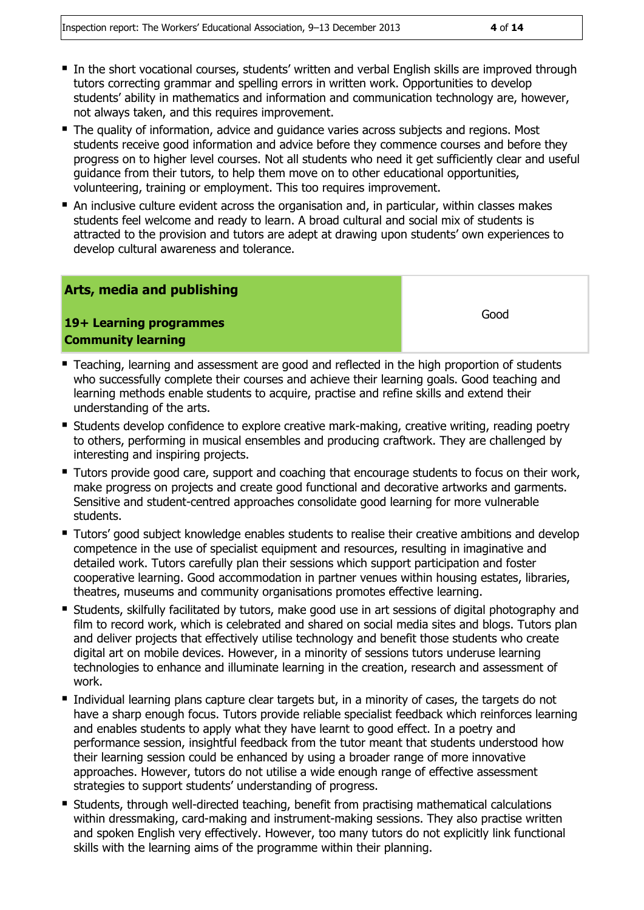- In the short vocational courses, students' written and verbal English skills are improved through tutors correcting grammar and spelling errors in written work. Opportunities to develop students' ability in mathematics and information and communication technology are, however, not always taken, and this requires improvement.
- The quality of information, advice and quidance varies across subjects and regions. Most students receive good information and advice before they commence courses and before they progress on to higher level courses. Not all students who need it get sufficiently clear and useful guidance from their tutors, to help them move on to other educational opportunities, volunteering, training or employment. This too requires improvement.
- An inclusive culture evident across the organisation and, in particular, within classes makes students feel welcome and ready to learn. A broad cultural and social mix of students is attracted to the provision and tutors are adept at drawing upon students' own experiences to develop cultural awareness and tolerance.

#### **Arts, media and publishing**

#### **19+ Learning programmes Community learning**

Good

- **Teaching, learning and assessment are good and reflected in the high proportion of students** who successfully complete their courses and achieve their learning goals. Good teaching and learning methods enable students to acquire, practise and refine skills and extend their understanding of the arts.
- **Students develop confidence to explore creative mark-making, creative writing, reading poetry** to others, performing in musical ensembles and producing craftwork. They are challenged by interesting and inspiring projects.
- **Tutors provide good care, support and coaching that encourage students to focus on their work,** make progress on projects and create good functional and decorative artworks and garments. Sensitive and student-centred approaches consolidate good learning for more vulnerable students.
- **Tutors'** good subject knowledge enables students to realise their creative ambitions and develop competence in the use of specialist equipment and resources, resulting in imaginative and detailed work. Tutors carefully plan their sessions which support participation and foster cooperative learning. Good accommodation in partner venues within housing estates, libraries, theatres, museums and community organisations promotes effective learning.
- **Students, skilfully facilitated by tutors, make good use in art sessions of digital photography and** film to record work, which is celebrated and shared on social media sites and blogs. Tutors plan and deliver projects that effectively utilise technology and benefit those students who create digital art on mobile devices. However, in a minority of sessions tutors underuse learning technologies to enhance and illuminate learning in the creation, research and assessment of work.
- Individual learning plans capture clear targets but, in a minority of cases, the targets do not have a sharp enough focus. Tutors provide reliable specialist feedback which reinforces learning and enables students to apply what they have learnt to good effect. In a poetry and performance session, insightful feedback from the tutor meant that students understood how their learning session could be enhanced by using a broader range of more innovative approaches. However, tutors do not utilise a wide enough range of effective assessment strategies to support students' understanding of progress.
- **Students, through well-directed teaching, benefit from practising mathematical calculations** within dressmaking, card-making and instrument-making sessions. They also practise written and spoken English very effectively. However, too many tutors do not explicitly link functional skills with the learning aims of the programme within their planning.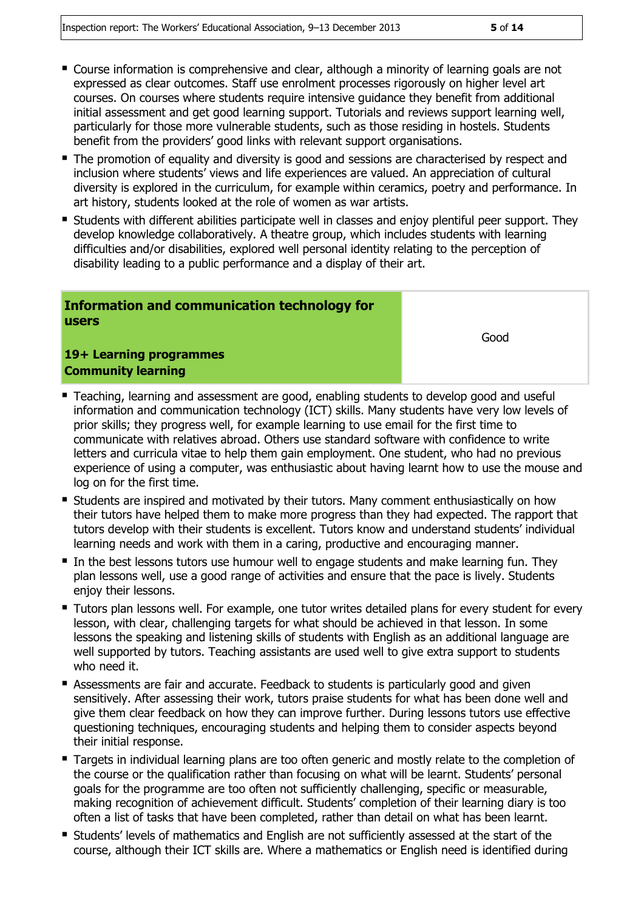- Course information is comprehensive and clear, although a minority of learning goals are not expressed as clear outcomes. Staff use enrolment processes rigorously on higher level art courses. On courses where students require intensive guidance they benefit from additional initial assessment and get good learning support. Tutorials and reviews support learning well, particularly for those more vulnerable students, such as those residing in hostels. Students benefit from the providers' good links with relevant support organisations.
- The promotion of equality and diversity is good and sessions are characterised by respect and inclusion where students' views and life experiences are valued. An appreciation of cultural diversity is explored in the curriculum, for example within ceramics, poetry and performance. In art history, students looked at the role of women as war artists.
- **Students with different abilities participate well in classes and enjoy plentiful peer support. They** develop knowledge collaboratively. A theatre group, which includes students with learning difficulties and/or disabilities, explored well personal identity relating to the perception of disability leading to a public performance and a display of their art.

#### **Information and communication technology for users**

Good

#### **19+ Learning programmes Community learning**

- Teaching, learning and assessment are good, enabling students to develop good and useful information and communication technology (ICT) skills. Many students have very low levels of prior skills; they progress well, for example learning to use email for the first time to communicate with relatives abroad. Others use standard software with confidence to write letters and curricula vitae to help them gain employment. One student, who had no previous experience of using a computer, was enthusiastic about having learnt how to use the mouse and log on for the first time.
- **Students are inspired and motivated by their tutors. Many comment enthusiastically on how** their tutors have helped them to make more progress than they had expected. The rapport that tutors develop with their students is excellent. Tutors know and understand students' individual learning needs and work with them in a caring, productive and encouraging manner.
- In the best lessons tutors use humour well to engage students and make learning fun. They plan lessons well, use a good range of activities and ensure that the pace is lively. Students enjoy their lessons.
- **Tutors plan lessons well. For example, one tutor writes detailed plans for every student for every** lesson, with clear, challenging targets for what should be achieved in that lesson. In some lessons the speaking and listening skills of students with English as an additional language are well supported by tutors. Teaching assistants are used well to give extra support to students who need it.
- Assessments are fair and accurate. Feedback to students is particularly good and given sensitively. After assessing their work, tutors praise students for what has been done well and give them clear feedback on how they can improve further. During lessons tutors use effective questioning techniques, encouraging students and helping them to consider aspects beyond their initial response.
- **Targets in individual learning plans are too often generic and mostly relate to the completion of** the course or the qualification rather than focusing on what will be learnt. Students' personal goals for the programme are too often not sufficiently challenging, specific or measurable, making recognition of achievement difficult. Students' completion of their learning diary is too often a list of tasks that have been completed, rather than detail on what has been learnt.
- **Students' levels of mathematics and English are not sufficiently assessed at the start of the** course, although their ICT skills are. Where a mathematics or English need is identified during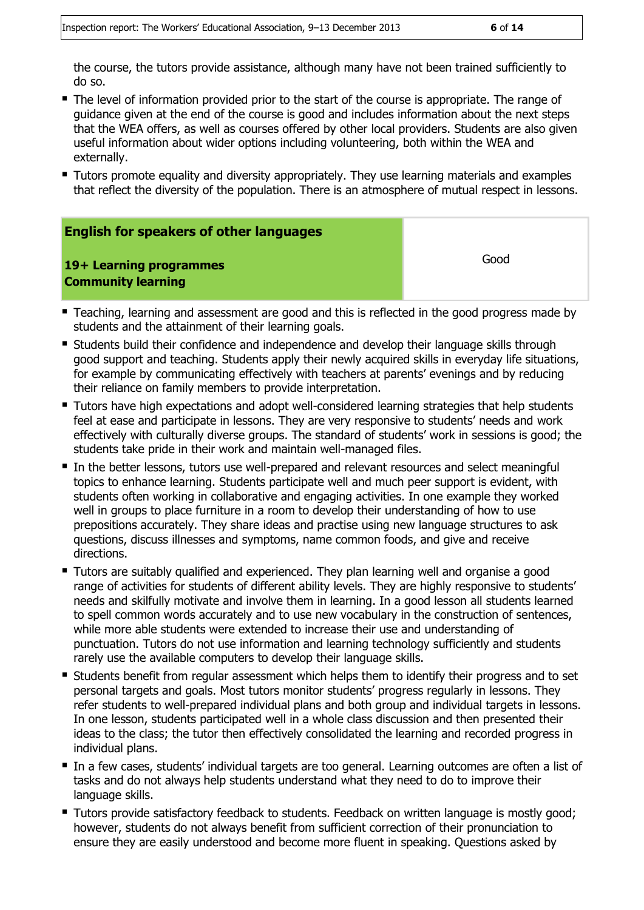the course, the tutors provide assistance, although many have not been trained sufficiently to do so.

- The level of information provided prior to the start of the course is appropriate. The range of guidance given at the end of the course is good and includes information about the next steps that the WEA offers, as well as courses offered by other local providers. Students are also given useful information about wider options including volunteering, both within the WEA and externally.
- **Tutors promote equality and diversity appropriately. They use learning materials and examples** that reflect the diversity of the population. There is an atmosphere of mutual respect in lessons.

| <b>English for speakers of other languages</b>       |      |
|------------------------------------------------------|------|
| 19+ Learning programmes<br><b>Community learning</b> | Good |

- **Teaching, learning and assessment are good and this is reflected in the good progress made by** students and the attainment of their learning goals.
- Students build their confidence and independence and develop their language skills through good support and teaching. Students apply their newly acquired skills in everyday life situations, for example by communicating effectively with teachers at parents' evenings and by reducing their reliance on family members to provide interpretation.
- **Tutors have high expectations and adopt well-considered learning strategies that help students** feel at ease and participate in lessons. They are very responsive to students' needs and work effectively with culturally diverse groups. The standard of students' work in sessions is good; the students take pride in their work and maintain well-managed files.
- In the better lessons, tutors use well-prepared and relevant resources and select meaningful topics to enhance learning. Students participate well and much peer support is evident, with students often working in collaborative and engaging activities. In one example they worked well in groups to place furniture in a room to develop their understanding of how to use prepositions accurately. They share ideas and practise using new language structures to ask questions, discuss illnesses and symptoms, name common foods, and give and receive directions.
- **Tutors are suitably qualified and experienced. They plan learning well and organise a good** range of activities for students of different ability levels. They are highly responsive to students' needs and skilfully motivate and involve them in learning. In a good lesson all students learned to spell common words accurately and to use new vocabulary in the construction of sentences, while more able students were extended to increase their use and understanding of punctuation. Tutors do not use information and learning technology sufficiently and students rarely use the available computers to develop their language skills.
- Students benefit from regular assessment which helps them to identify their progress and to set personal targets and goals. Most tutors monitor students' progress regularly in lessons. They refer students to well-prepared individual plans and both group and individual targets in lessons. In one lesson, students participated well in a whole class discussion and then presented their ideas to the class; the tutor then effectively consolidated the learning and recorded progress in individual plans.
- In a few cases, students' individual targets are too general. Learning outcomes are often a list of tasks and do not always help students understand what they need to do to improve their language skills.
- **Tutors provide satisfactory feedback to students. Feedback on written language is mostly good;** however, students do not always benefit from sufficient correction of their pronunciation to ensure they are easily understood and become more fluent in speaking. Questions asked by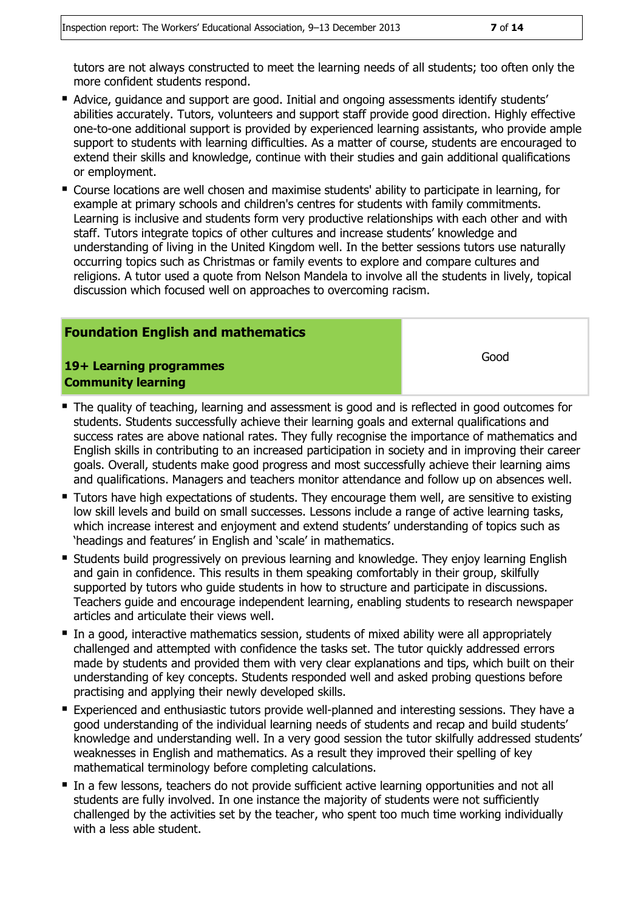tutors are not always constructed to meet the learning needs of all students; too often only the more confident students respond.

- Advice, guidance and support are good. Initial and ongoing assessments identify students' abilities accurately. Tutors, volunteers and support staff provide good direction. Highly effective one-to-one additional support is provided by experienced learning assistants, who provide ample support to students with learning difficulties. As a matter of course, students are encouraged to extend their skills and knowledge, continue with their studies and gain additional qualifications or employment.
- Course locations are well chosen and maximise students' ability to participate in learning, for example at primary schools and children's centres for students with family commitments. Learning is inclusive and students form very productive relationships with each other and with staff. Tutors integrate topics of other cultures and increase students' knowledge and understanding of living in the United Kingdom well. In the better sessions tutors use naturally occurring topics such as Christmas or family events to explore and compare cultures and religions. A tutor used a quote from Nelson Mandela to involve all the students in lively, topical discussion which focused well on approaches to overcoming racism.

#### **Foundation English and mathematics**

**19+ Learning programmes Community learning**

Good

- The quality of teaching, learning and assessment is good and is reflected in good outcomes for students. Students successfully achieve their learning goals and external qualifications and success rates are above national rates. They fully recognise the importance of mathematics and English skills in contributing to an increased participation in society and in improving their career goals. Overall, students make good progress and most successfully achieve their learning aims and qualifications. Managers and teachers monitor attendance and follow up on absences well.
- **Tutors have high expectations of students. They encourage them well, are sensitive to existing** low skill levels and build on small successes. Lessons include a range of active learning tasks, which increase interest and enjoyment and extend students' understanding of topics such as 'headings and features' in English and 'scale' in mathematics.
- **Students build progressively on previous learning and knowledge. They enjoy learning English** and gain in confidence. This results in them speaking comfortably in their group, skilfully supported by tutors who guide students in how to structure and participate in discussions. Teachers guide and encourage independent learning, enabling students to research newspaper articles and articulate their views well.
- In a good, interactive mathematics session, students of mixed ability were all appropriately challenged and attempted with confidence the tasks set. The tutor quickly addressed errors made by students and provided them with very clear explanations and tips, which built on their understanding of key concepts. Students responded well and asked probing questions before practising and applying their newly developed skills.
- **Experienced and enthusiastic tutors provide well-planned and interesting sessions. They have a** good understanding of the individual learning needs of students and recap and build students' knowledge and understanding well. In a very good session the tutor skilfully addressed students' weaknesses in English and mathematics. As a result they improved their spelling of key mathematical terminology before completing calculations.
- In a few lessons, teachers do not provide sufficient active learning opportunities and not all students are fully involved. In one instance the majority of students were not sufficiently challenged by the activities set by the teacher, who spent too much time working individually with a less able student.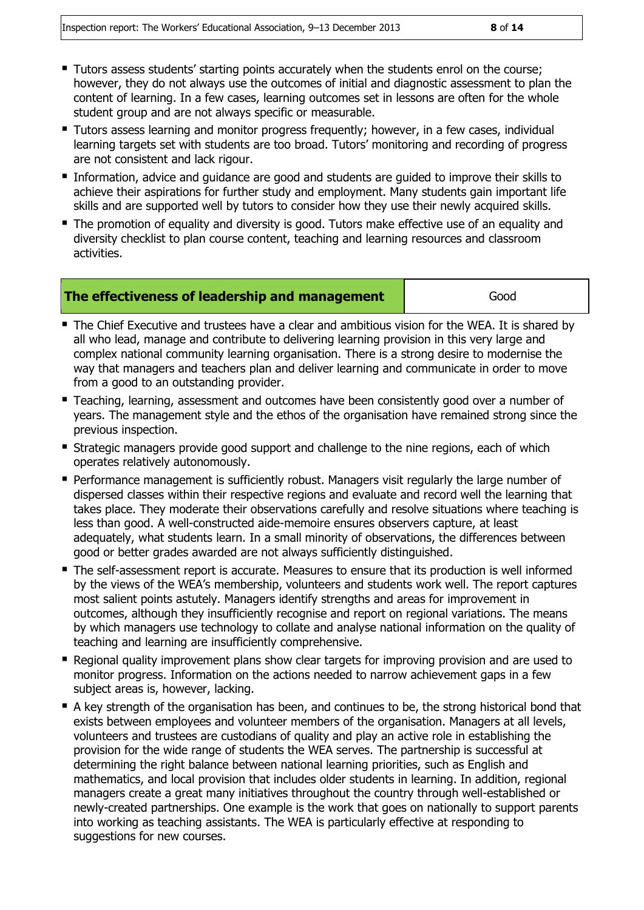- Tutors assess students' starting points accurately when the students enrol on the course; however, they do not always use the outcomes of initial and diagnostic assessment to plan the content of learning. In a few cases, learning outcomes set in lessons are often for the whole student group and are not always specific or measurable.
- **Tutors assess learning and monitor progress frequently; however, in a few cases, individual** learning targets set with students are too broad. Tutors' monitoring and recording of progress are not consistent and lack rigour.
- Information, advice and quidance are good and students are quided to improve their skills to achieve their aspirations for further study and employment. Many students gain important life skills and are supported well by tutors to consider how they use their newly acquired skills.
- The promotion of equality and diversity is good. Tutors make effective use of an equality and diversity checklist to plan course content, teaching and learning resources and classroom activities.

|  | The effectiveness of leadership and management | Good |
|--|------------------------------------------------|------|
|--|------------------------------------------------|------|

- The Chief Executive and trustees have a clear and ambitious vision for the WEA. It is shared by all who lead, manage and contribute to delivering learning provision in this very large and complex national community learning organisation. There is a strong desire to modernise the way that managers and teachers plan and deliver learning and communicate in order to move from a good to an outstanding provider.
- Teaching, learning, assessment and outcomes have been consistently good over a number of years. The management style and the ethos of the organisation have remained strong since the previous inspection.
- Strategic managers provide good support and challenge to the nine regions, each of which operates relatively autonomously.
- **Performance management is sufficiently robust. Managers visit regularly the large number of** dispersed classes within their respective regions and evaluate and record well the learning that takes place. They moderate their observations carefully and resolve situations where teaching is less than good. A well-constructed aide-memoire ensures observers capture, at least adequately, what students learn. In a small minority of observations, the differences between good or better grades awarded are not always sufficiently distinguished.
- The self-assessment report is accurate. Measures to ensure that its production is well informed by the views of the WEA's membership, volunteers and students work well. The report captures most salient points astutely. Managers identify strengths and areas for improvement in outcomes, although they insufficiently recognise and report on regional variations. The means by which managers use technology to collate and analyse national information on the quality of teaching and learning are insufficiently comprehensive.
- Regional quality improvement plans show clear targets for improving provision and are used to monitor progress. Information on the actions needed to narrow achievement gaps in a few subject areas is, however, lacking.
- A key strength of the organisation has been, and continues to be, the strong historical bond that exists between employees and volunteer members of the organisation. Managers at all levels, volunteers and trustees are custodians of quality and play an active role in establishing the provision for the wide range of students the WEA serves. The partnership is successful at determining the right balance between national learning priorities, such as English and mathematics, and local provision that includes older students in learning. In addition, regional managers create a great many initiatives throughout the country through well-established or newly-created partnerships. One example is the work that goes on nationally to support parents into working as teaching assistants. The WEA is particularly effective at responding to suggestions for new courses.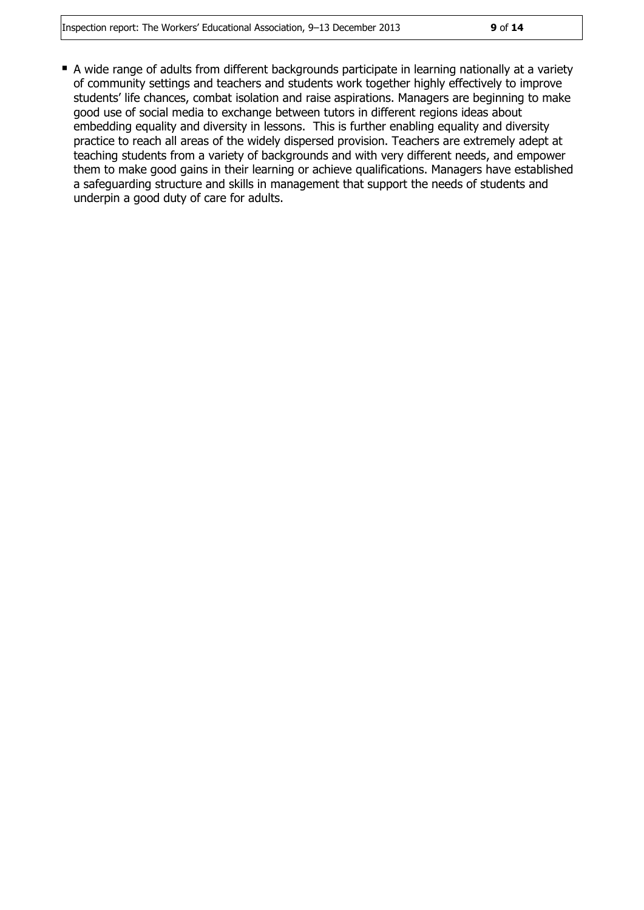■ A wide range of adults from different backgrounds participate in learning nationally at a variety of community settings and teachers and students work together highly effectively to improve students' life chances, combat isolation and raise aspirations. Managers are beginning to make good use of social media to exchange between tutors in different regions ideas about embedding equality and diversity in lessons. This is further enabling equality and diversity practice to reach all areas of the widely dispersed provision. Teachers are extremely adept at teaching students from a variety of backgrounds and with very different needs, and empower them to make good gains in their learning or achieve qualifications. Managers have established a safeguarding structure and skills in management that support the needs of students and underpin a good duty of care for adults.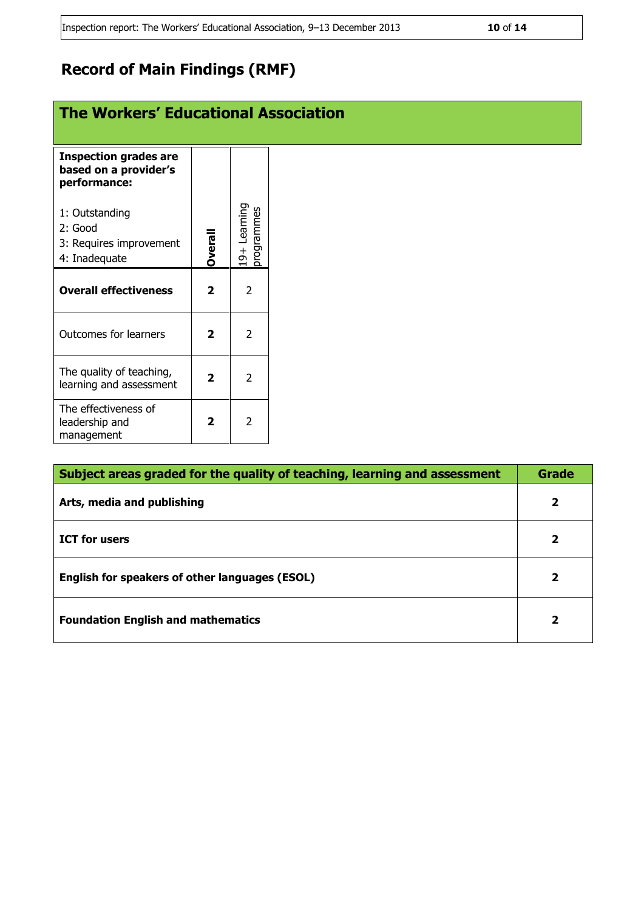### **Record of Main Findings (RMF)**

### **The Workers' Educational Association**

| <b>Inspection grades are</b><br>based on a provider's<br>performance: |               |                        |
|-----------------------------------------------------------------------|---------------|------------------------|
| 1: Outstanding<br>2: Good                                             |               | Learning<br>programmes |
| 3: Requires improvement                                               |               |                        |
| 4: Inadequate                                                         | <b>Overal</b> | $rac{1}{9}$            |
| <b>Overall effectiveness</b>                                          | 2             | 2                      |
| <b>Outcomes for learners</b>                                          | 2             | 2                      |
| The quality of teaching,<br>learning and assessment                   | 2             | 2                      |
| The effectiveness of<br>leadership and<br>management                  | 7             |                        |

| Subject areas graded for the quality of teaching, learning and assessment |   |
|---------------------------------------------------------------------------|---|
| Arts, media and publishing                                                | 2 |
| <b>ICT</b> for users                                                      | 2 |
| English for speakers of other languages (ESOL)                            |   |
| <b>Foundation English and mathematics</b>                                 | 2 |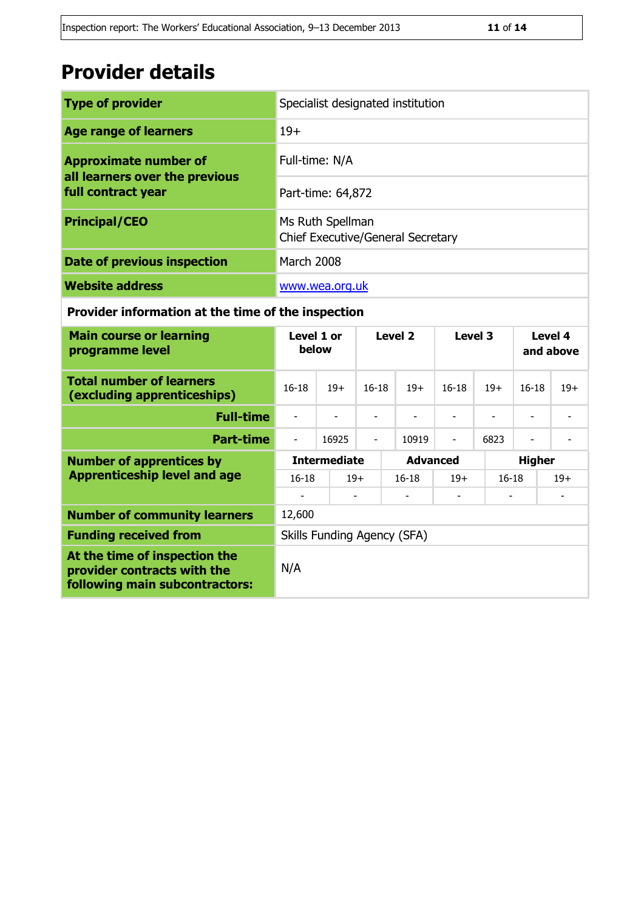## **Provider details**

| <b>Type of provider</b>                                        | Specialist designated institution                     |
|----------------------------------------------------------------|-------------------------------------------------------|
| <b>Age range of learners</b>                                   | $19+$                                                 |
| <b>Approximate number of</b><br>all learners over the previous | Full-time: N/A                                        |
| full contract year                                             | Part-time: 64,872                                     |
| <b>Principal/CEO</b>                                           | Ms Ruth Spellman<br>Chief Executive/General Secretary |
| Date of previous inspection                                    | March 2008                                            |
| <b>Website address</b>                                         | www.wea.org.uk                                        |

#### **Provider information at the time of the inspection**

| <b>Main course or learning</b><br>programme level                                              | Level 2<br>Level 4<br>Level 1 or<br>Level 3<br>below<br>and above           |                     |                          |                             |                |           |               |       |
|------------------------------------------------------------------------------------------------|-----------------------------------------------------------------------------|---------------------|--------------------------|-----------------------------|----------------|-----------|---------------|-------|
| <b>Total number of learners</b><br>(excluding apprenticeships)                                 | $16 - 18$<br>$16 - 18$<br>$19+$<br>$19+$<br>$16 - 18$<br>$19+$<br>$16 - 18$ |                     |                          |                             | $19+$          |           |               |       |
| <b>Full-time</b>                                                                               | L,                                                                          |                     | $\overline{\phantom{a}}$ |                             |                | ۰         |               |       |
| <b>Part-time</b>                                                                               | $\overline{\phantom{a}}$                                                    | 16925               | $\overline{\phantom{0}}$ | 10919                       | $\blacksquare$ | 6823      |               |       |
| <b>Number of apprentices by</b>                                                                |                                                                             | <b>Intermediate</b> |                          | <b>Advanced</b>             |                |           | <b>Higher</b> |       |
| <b>Apprenticeship level and age</b>                                                            | $16 - 18$                                                                   |                     | $19+$                    | $16 - 18$                   | $19+$          | $16 - 18$ |               | $19+$ |
|                                                                                                |                                                                             |                     |                          |                             |                |           |               |       |
| <b>Number of community learners</b>                                                            | 12,600                                                                      |                     |                          |                             |                |           |               |       |
| <b>Funding received from</b>                                                                   |                                                                             |                     |                          | Skills Funding Agency (SFA) |                |           |               |       |
| At the time of inspection the<br>provider contracts with the<br>following main subcontractors: | N/A                                                                         |                     |                          |                             |                |           |               |       |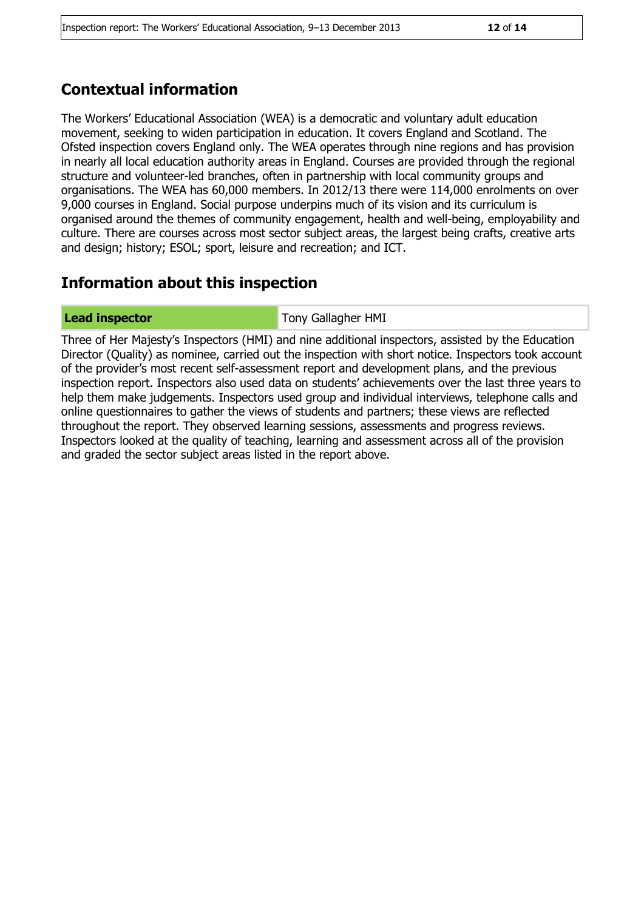#### **Contextual information**

The Workers' Educational Association (WEA) is a democratic and voluntary adult education movement, seeking to widen participation in education. It covers England and Scotland. The Ofsted inspection covers England only. The WEA operates through nine regions and has provision in nearly all local education authority areas in England. Courses are provided through the regional structure and volunteer-led branches, often in partnership with local community groups and organisations. The WEA has 60,000 members. In 2012/13 there were 114,000 enrolments on over 9,000 courses in England. Social purpose underpins much of its vision and its curriculum is organised around the themes of community engagement, health and well-being, employability and culture. There are courses across most sector subject areas, the largest being crafts, creative arts and design; history; ESOL; sport, leisure and recreation; and ICT.

#### **Information about this inspection**

**Lead inspector** Tony Gallagher HMI

Three of Her Majesty's Inspectors (HMI) and nine additional inspectors, assisted by the Education Director (Quality) as nominee, carried out the inspection with short notice. Inspectors took account of the provider's most recent self-assessment report and development plans, and the previous inspection report. Inspectors also used data on students' achievements over the last three years to help them make judgements. Inspectors used group and individual interviews, telephone calls and online questionnaires to gather the views of students and partners; these views are reflected throughout the report. They observed learning sessions, assessments and progress reviews. Inspectors looked at the quality of teaching, learning and assessment across all of the provision and graded the sector subject areas listed in the report above.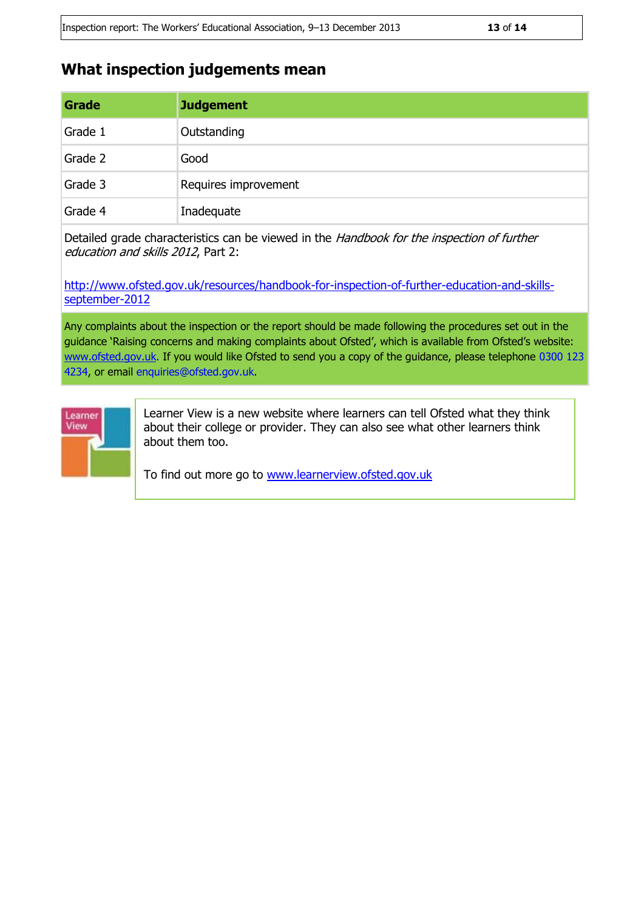#### **What inspection judgements mean**

| Grade   | <b>Judgement</b>     |
|---------|----------------------|
| Grade 1 | Outstanding          |
| Grade 2 | Good                 |
| Grade 3 | Requires improvement |
| Grade 4 | Inadequate           |

Detailed grade characteristics can be viewed in the Handbook for the inspection of further education and skills 2012, Part 2:

[http://www.ofsted.gov.uk/resources/handbook-for-inspection-of-further-education-and-skills](http://www.ofsted.gov.uk/resources/handbook-for-inspection-of-further-education-and-skills-september-2012)[september-2012](http://www.ofsted.gov.uk/resources/handbook-for-inspection-of-further-education-and-skills-september-2012)

Any complaints about the inspection or the report should be made following the procedures set out in the guidance 'Raising concerns and making complaints about Ofsted', which is available from Ofsted's website: [www.ofsted.gov.uk.](http://www.ofsted.gov.uk/) If you would like Ofsted to send you a copy of the guidance, please telephone 0300 123 4234, or email enquiries@ofsted.gov.uk.



Learner View is a new website where learners can tell Ofsted what they think about their college or provider. They can also see what other learners think about them too.

To find out more go to [www.learnerview.ofsted.gov.uk](http://www.learnerview.ofsted.gov.uk/)